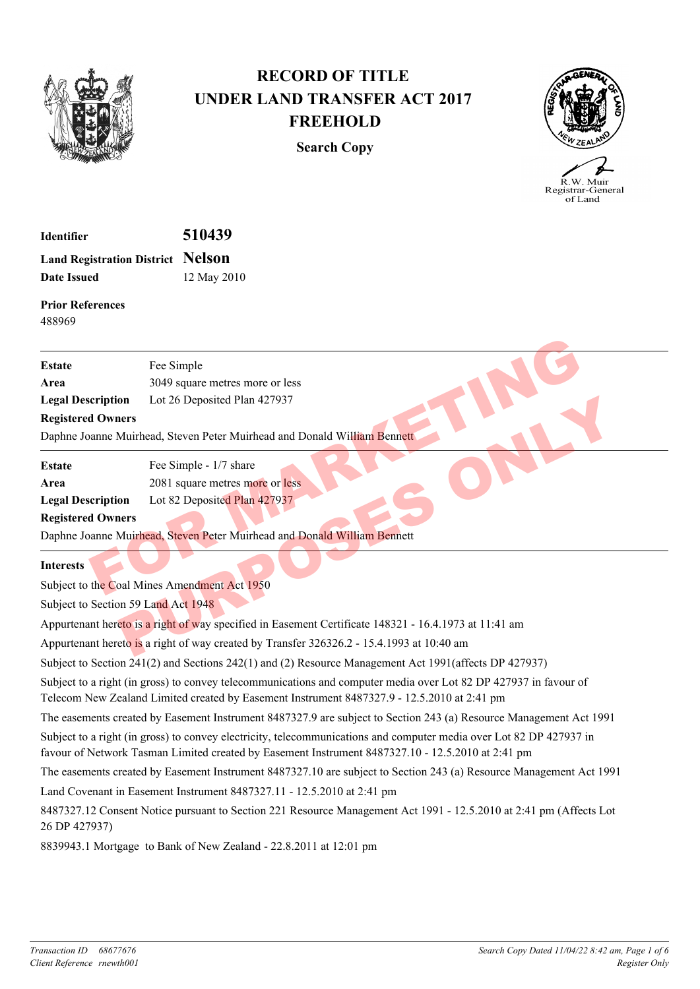

## **RECORD OF TITLE UNDER LAND TRANSFER ACT 2017 FREEHOLD**

**Search Copy**



.<br>R.W. Muir Registrar-General of Land

| <b>Identifier</b>                        | 510439      |
|------------------------------------------|-------------|
| <b>Land Registration District Nelson</b> |             |
| Date Issued                              | 12 May 2010 |

**Prior References** 488969

| <b>Estate</b>                                                                                         | Fee Simple                                                                                |  |
|-------------------------------------------------------------------------------------------------------|-------------------------------------------------------------------------------------------|--|
| Area                                                                                                  | 3049 square metres more or less                                                           |  |
| <b>Legal Description</b>                                                                              | Lot 26 Deposited Plan 427937                                                              |  |
| <b>Registered Owners</b>                                                                              |                                                                                           |  |
|                                                                                                       | Daphne Joanne Muirhead, Steven Peter Muirhead and Donald William Bennett                  |  |
| <b>Estate</b>                                                                                         | Fee Simple - 1/7 share                                                                    |  |
| Area                                                                                                  | 2081 square metres more or less                                                           |  |
| <b>Legal Description</b>                                                                              | Lot 82 Deposited Plan 427937                                                              |  |
| <b>Registered Owners</b>                                                                              |                                                                                           |  |
|                                                                                                       | Daphne Joanne Muirhead, Steven Peter Muirhead and Donald William Bennett                  |  |
| <b>Interests</b>                                                                                      |                                                                                           |  |
|                                                                                                       | Subject to the Coal Mines Amendment Act 1950                                              |  |
| Subject to Section 59 Land Act 1948                                                                   |                                                                                           |  |
| Appurtenant hereto is a right of way specified in Easement Certificate 148321 - 16.4.1973 at 11:41 am |                                                                                           |  |
|                                                                                                       | Appurtenant hereto is a right of way created by Transfer 326326.2 - 15.4.1993 at 10:40 am |  |

Subject to Section 241(2) and Sections 242(1) and (2) Resource Management Act 1991(affects DP 427937)

Subject to a right (in gross) to convey telecommunications and computer media over Lot 82 DP 427937 in favour of Telecom New Zealand Limited created by Easement Instrument 8487327.9 - 12.5.2010 at 2:41 pm

The easements created by Easement Instrument 8487327.9 are subject to Section 243 (a) Resource Management Act 1991

Subject to a right (in gross) to convey electricity, telecommunications and computer media over Lot 82 DP 427937 in favour of Network Tasman Limited created by Easement Instrument 8487327.10 - 12.5.2010 at 2:41 pm

The easements created by Easement Instrument 8487327.10 are subject to Section 243 (a) Resource Management Act 1991

Land Covenant in Easement Instrument 8487327.11 - 12.5.2010 at 2:41 pm

8487327.12 Consent Notice pursuant to Section 221 Resource Management Act 1991 - 12.5.2010 at 2:41 pm (Affects Lot 26 DP 427937)

8839943.1 Mortgage to Bank of New Zealand - 22.8.2011 at 12:01 pm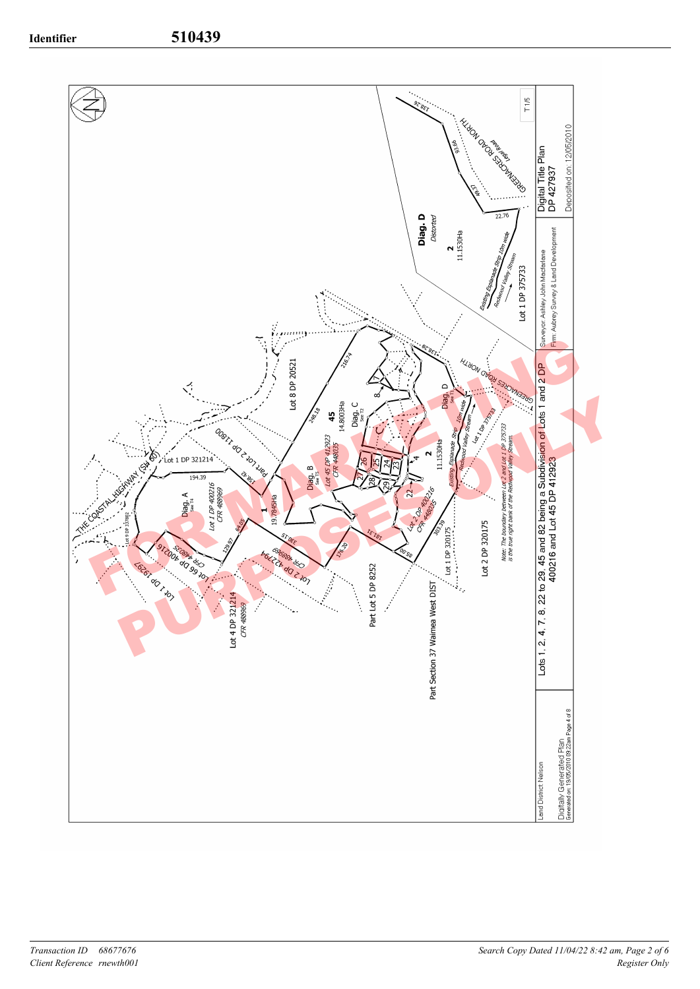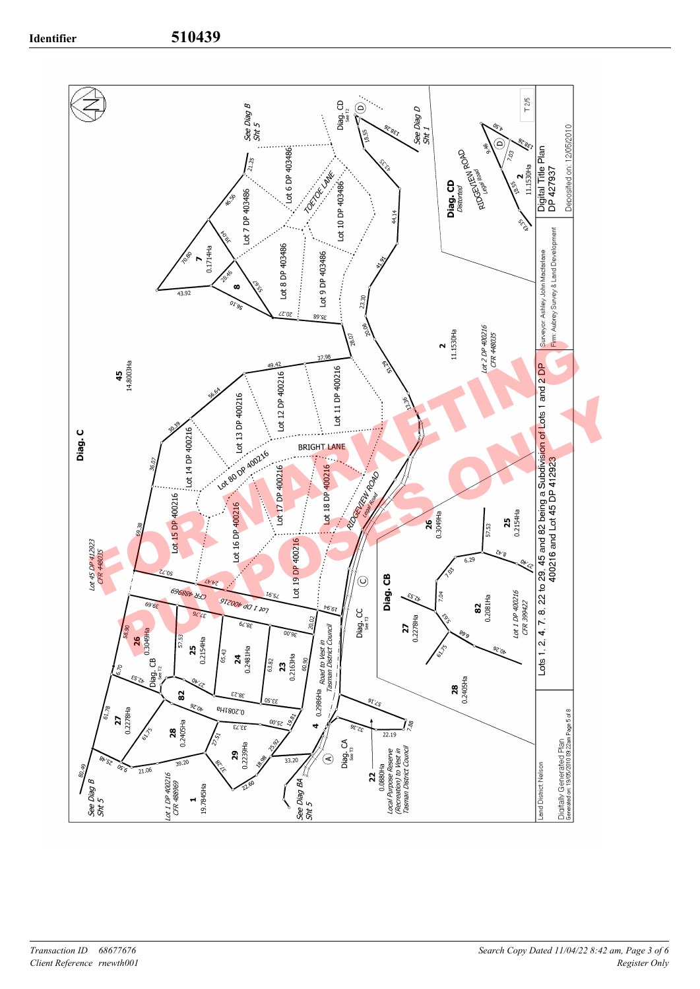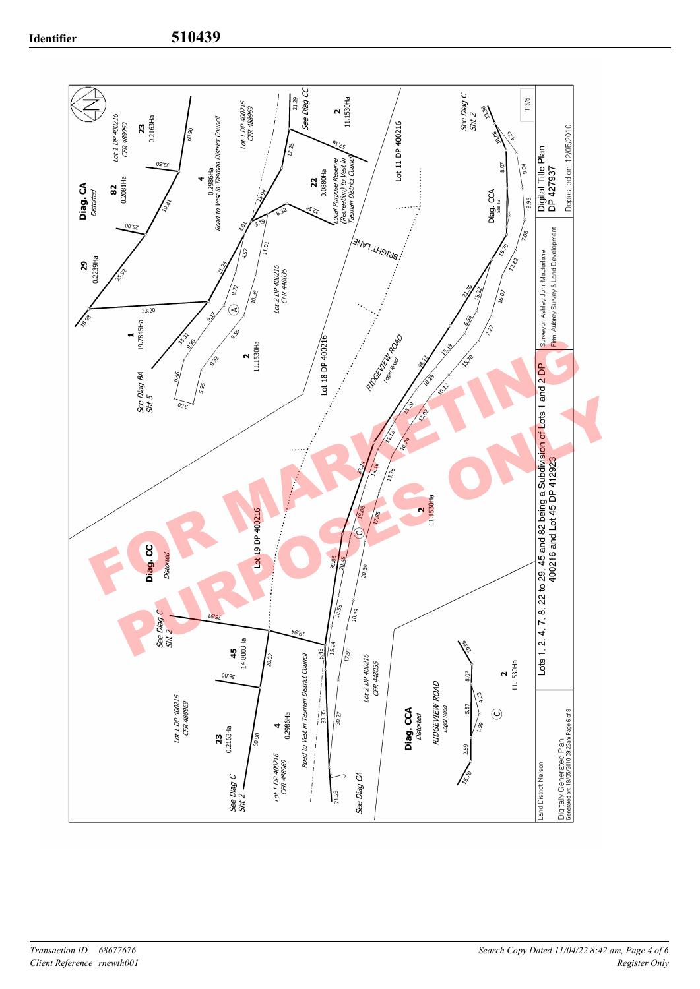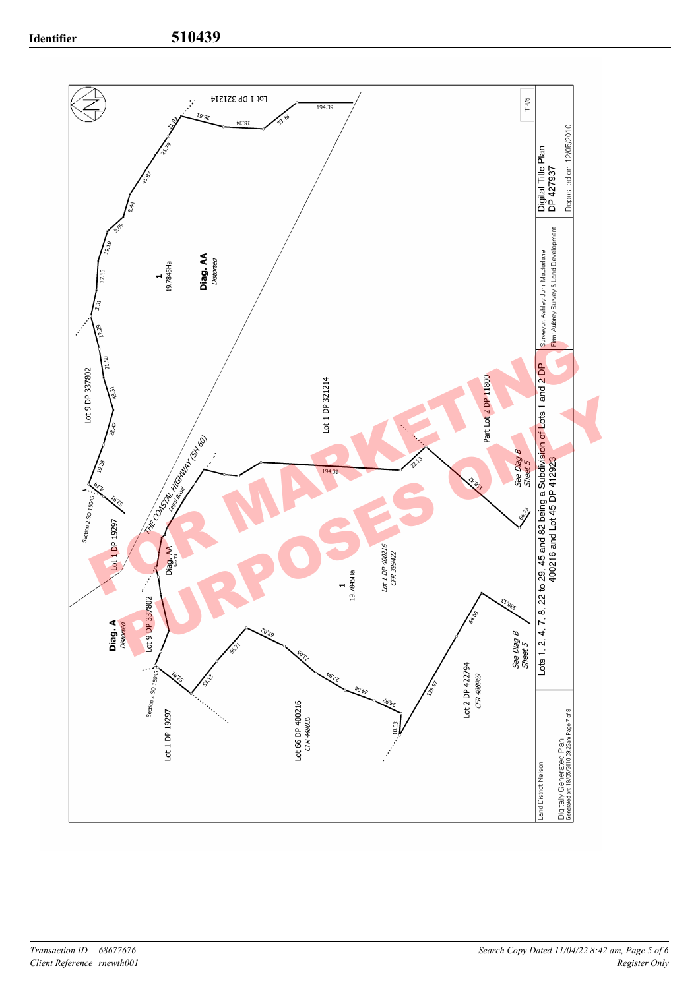**Identifier 510439**